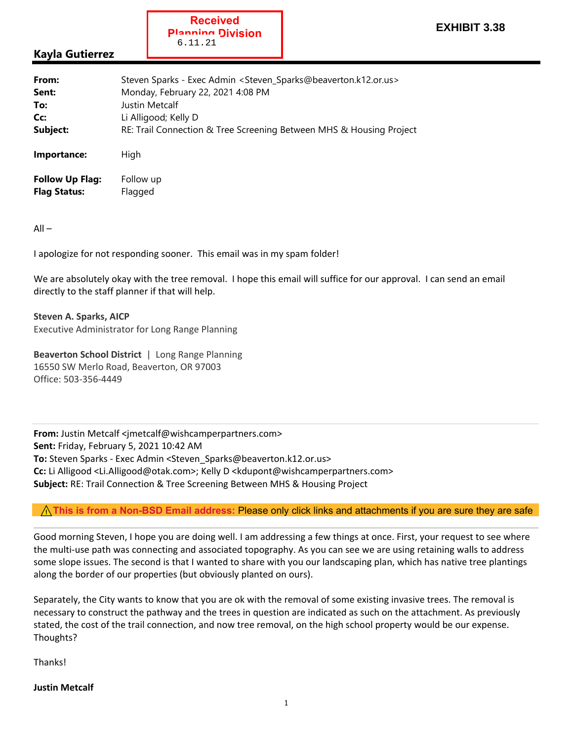## **Kayla Gutierrez**

| From:                  | Steven Sparks - Exec Admin < Steven_Sparks@beaverton.k12.or.us>     |
|------------------------|---------------------------------------------------------------------|
| Sent:                  | Monday, February 22, 2021 4:08 PM                                   |
| To:                    | Justin Metcalf                                                      |
| Cc:                    | Li Alligood; Kelly D                                                |
| Subject:               | RE: Trail Connection & Tree Screening Between MHS & Housing Project |
| Importance:            | High                                                                |
| <b>Follow Up Flag:</b> | Follow up                                                           |
| <b>Flag Status:</b>    | Flagged                                                             |

**Received Planning Division**

6.11.21

All –

I apologize for not responding sooner. This email was in my spam folder!

We are absolutely okay with the tree removal. I hope this email will suffice for our approval. I can send an email directly to the staff planner if that will help.

**Steven A. Sparks, AICP** Executive Administrator for Long Range Planning

**Beaverton School District** | Long Range Planning 16550 SW Merlo Road, Beaverton, OR 97003 Office: 503‐356‐4449

**From:** Justin Metcalf <imetcalf@wishcamperpartners.com> **Sent:** Friday, February 5, 2021 10:42 AM **To:** Steven Sparks ‐ Exec Admin <Steven\_Sparks@beaverton.k12.or.us> **Cc:** Li Alligood <Li.Alligood@otak.com>; Kelly D <kdupont@wishcamperpartners.com> **Subject:** RE: Trail Connection & Tree Screening Between MHS & Housing Project

## ❚❛❜**This is from a Non-BSD Email address:** Please only click links and attachments if you are sure they are safe

Good morning Steven, I hope you are doing well. I am addressing a few things at once. First, your request to see where the multi-use path was connecting and associated topography. As you can see we are using retaining walls to address some slope issues. The second is that I wanted to share with you our landscaping plan, which has native tree plantings along the border of our properties (but obviously planted on ours).

Separately, the City wants to know that you are ok with the removal of some existing invasive trees. The removal is necessary to construct the pathway and the trees in question are indicated as such on the attachment. As previously stated, the cost of the trail connection, and now tree removal, on the high school property would be our expense. Thoughts?

Thanks!

## **Justin Metcalf**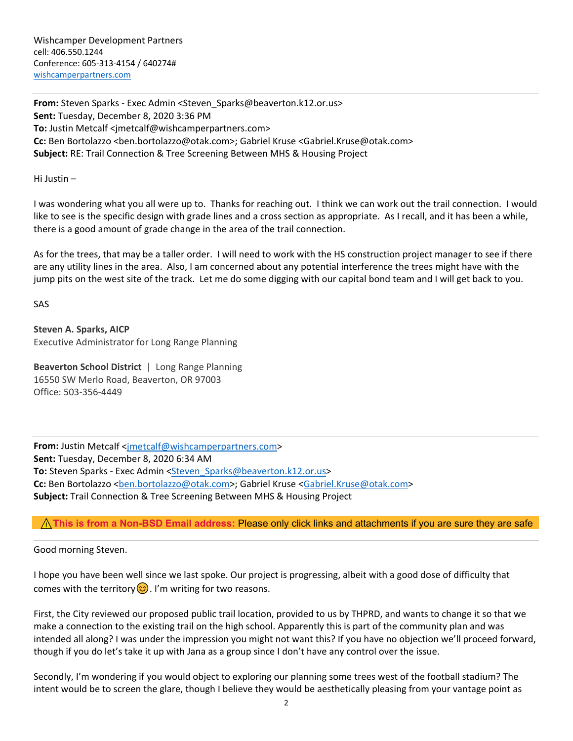Wishcamper Development Partners cell: 406.550.1244 Conference: 605‐313‐4154 / 640274# wishcamperpartners.com

**From:** Steven Sparks ‐ Exec Admin <Steven\_Sparks@beaverton.k12.or.us> **Sent:** Tuesday, December 8, 2020 3:36 PM **To:** Justin Metcalf <jmetcalf@wishcamperpartners.com> **Cc:** Ben Bortolazzo <ben.bortolazzo@otak.com>; Gabriel Kruse <Gabriel.Kruse@otak.com> **Subject:** RE: Trail Connection & Tree Screening Between MHS & Housing Project

Hi Justin –

I was wondering what you all were up to. Thanks for reaching out. I think we can work out the trail connection. I would like to see is the specific design with grade lines and a cross section as appropriate. As I recall, and it has been a while, there is a good amount of grade change in the area of the trail connection.

As for the trees, that may be a taller order. I will need to work with the HS construction project manager to see if there are any utility lines in the area. Also, I am concerned about any potential interference the trees might have with the jump pits on the west site of the track. Let me do some digging with our capital bond team and I will get back to you.

SAS

**Steven A. Sparks, AICP** Executive Administrator for Long Range Planning

**Beaverton School District** | Long Range Planning 16550 SW Merlo Road, Beaverton, OR 97003 Office: 503‐356‐4449

**From:** Justin Metcalf <jmetcalf@wishcamperpartners.com> **Sent:** Tuesday, December 8, 2020 6:34 AM **To:** Steven Sparks ‐ Exec Admin <Steven\_Sparks@beaverton.k12.or.us> Cc: Ben Bortolazzo <ben.bortolazzo@otak.com>; Gabriel Kruse <Gabriel.Kruse@otak.com> **Subject:** Trail Connection & Tree Screening Between MHS & Housing Project

## ❚❛❜**This is from a Non-BSD Email address:** Please only click links and attachments if you are sure they are safe

Good morning Steven.

I hope you have been well since we last spoke. Our project is progressing, albeit with a good dose of difficulty that comes with the territory  $\odot$ . I'm writing for two reasons.

First, the City reviewed our proposed public trail location, provided to us by THPRD, and wants to change it so that we make a connection to the existing trail on the high school. Apparently this is part of the community plan and was intended all along? I was under the impression you might not want this? If you have no objection we'll proceed forward, though if you do let's take it up with Jana as a group since I don't have any control over the issue.

Secondly, I'm wondering if you would object to exploring our planning some trees west of the football stadium? The intent would be to screen the glare, though I believe they would be aesthetically pleasing from your vantage point as